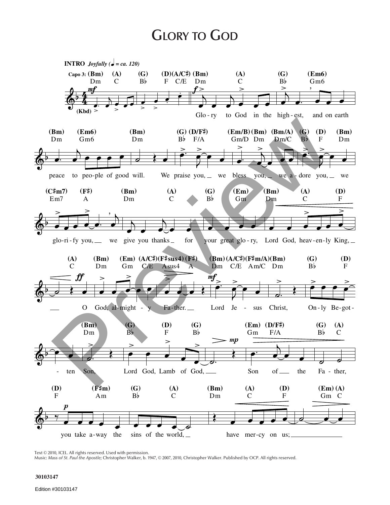## **GLORY TO GOD**



Text © 2010, ICEL. All rights reserved. Used with permission.

Music: Mass of St. Paul the Apostle; Christopher Walker, b. 1947, @ 2007, 2010, Christopher Walker. Published by OCP. All rights reserved.